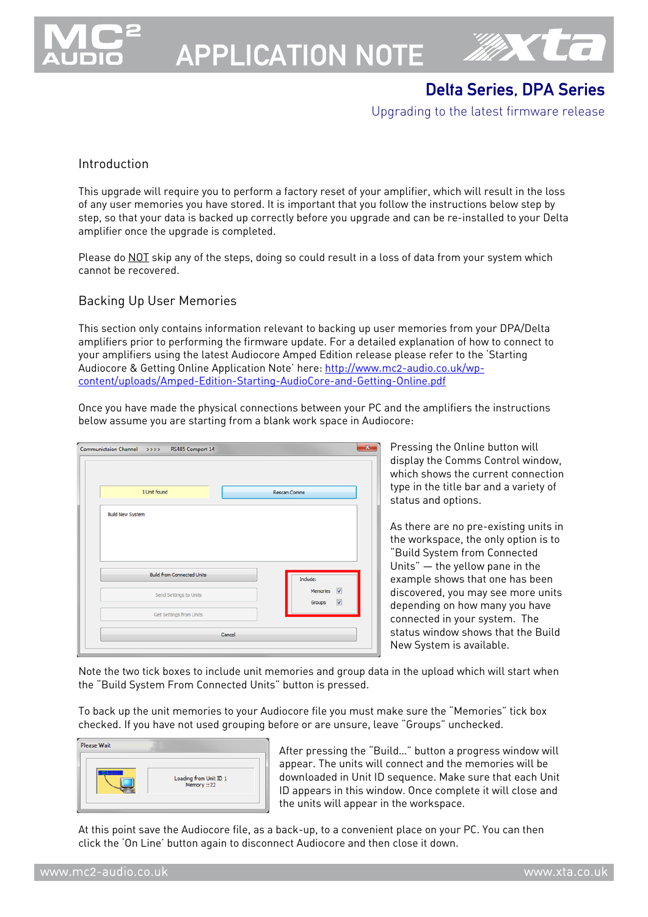

# APPLICATION NOTE



# Delta Series, DPA Series

Upgrading to the latest firmware release

#### Introduction

This upgrade will require you to perform a factory reset of your amplifier, which will result in the loss of any user memories you have stored. It is important that you follow the instructions below step by step, so that your data is backed up correctly before you upgrade and can be re-installed to your Delta amplifier once the upgrade is completed.

Please do NOT skip any of the steps, doing so could result in a loss of data from your system which cannot be recovered.

#### Backing Up User Memories

This section only contains information relevant to backing up user memories from your DPA/Delta amplifiers prior to performing the firmware update. For a detailed explanation of how to connect to your amplifiers using the latest Audiocore Amped Edition release please refer to the 'Starting Audiocore & Getting Online Application Note' here: http://www.mc2-audio.co.uk/wpcontent/uploads/Amped-Edition-Starting-AudioCore-and-Getting-Online.pdf

Once you have made the physical connections between your PC and the amplifiers the instructions below assume you are starting from a blank work space in Audiocore:

| Communictaion Channel >>>> RS485 Comport 14 | $\mathbf{x}$                                    |
|---------------------------------------------|-------------------------------------------------|
| 1 Unit found                                | <b>Rescan Comms</b>                             |
| <b>Build New System</b>                     |                                                 |
|                                             |                                                 |
|                                             |                                                 |
| <b>Build from Connected Units</b>           | Indude:                                         |
| Send Settings to Units                      | Memories V<br>$\overline{\mathbf{v}}$<br>Groups |
| Get Settings from Units                     |                                                 |
|                                             |                                                 |

Pressing the Online button will display the Comms Control window, which shows the current connection type in the title bar and a variety of status and options.

As there are no pre-existing units in the workspace, the only option is to "Build System from Connected Units" – the yellow pane in the example shows that one has been discovered, you may see more units depending on how many you have connected in your system. The status window shows that the Build New System is available.

Note the two tick boxes to include unit memories and group data in the upload which will start when the "Build System From Connected Units" button is pressed.

To back up the unit memories to your Audiocore file you must make sure the "Memories" tick box checked. If you have not used grouping before or are unsure, leave "Groups" unchecked.

|  | Loading from Unit ID 1<br>Memory ::22 |
|--|---------------------------------------|
|--|---------------------------------------|

After pressing the "Build…" button a progress window will appear. The units will connect and the memories will be downloaded in Unit ID sequence. Make sure that each Unit ID appears in this window. Once complete it will close and the units will appear in the workspace.

At this point save the Audiocore file, as a back-up, to a convenient place on your PC. You can then click the 'On Line' button again to disconnect Audiocore and then close it down.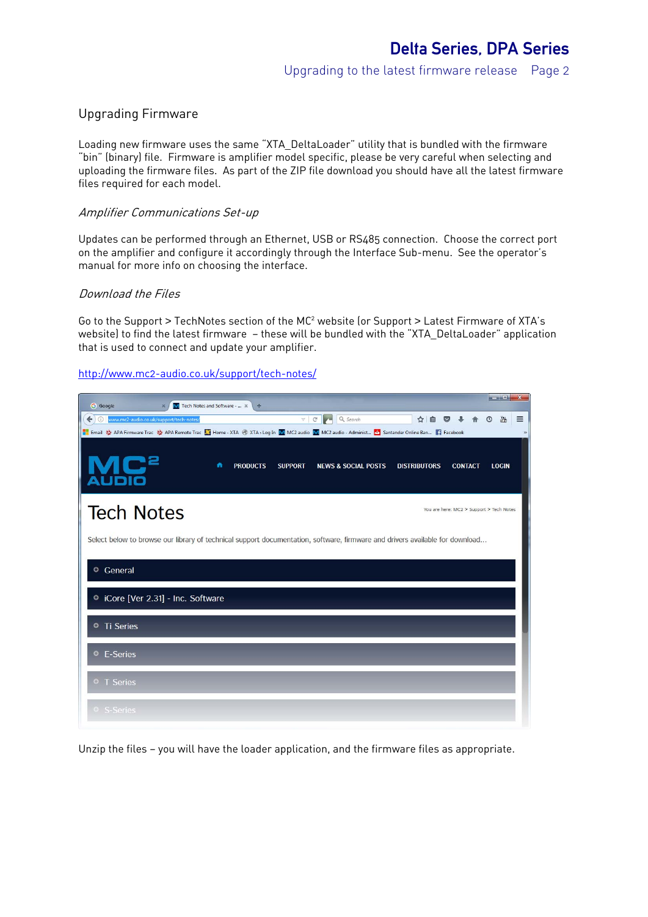#### Upgrading Firmware

Loading new firmware uses the same "XTA\_DeltaLoader" utility that is bundled with the firmware "bin" (binary) file. Firmware is amplifier model specific, please be very careful when selecting and uploading the firmware files. As part of the ZIP file download you should have all the latest firmware files required for each model.

#### Amplifier Communications Set-up

Updates can be performed through an Ethernet, USB or RS485 connection. Choose the correct port on the amplifier and configure it accordingly through the Interface Sub-menu. See the operator's manual for more info on choosing the interface.

#### Download the Files

Go to the Support > TechNotes section of the MC<sup>2</sup> website (or Support > Latest Firmware of XTA's website) to find the latest firmware — these will be bundled with the "XTA\_DeltaLoader" application that is used to connect and update your amplifier.

#### http://www.mc2-audio.co.uk/support/tech-notes/



Unzip the files — you will have the loader application, and the firmware files as appropriate.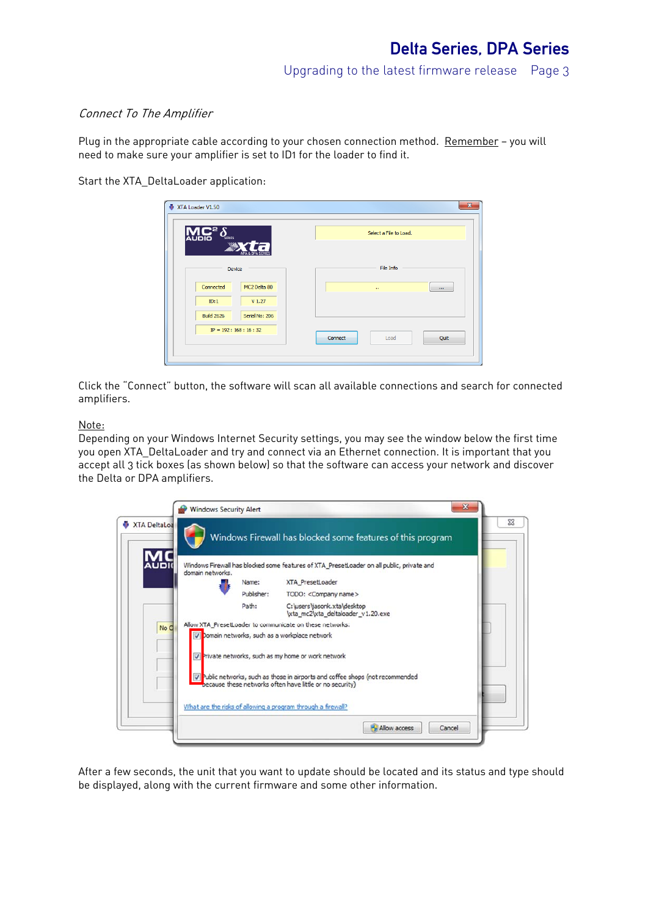Upgrading to the latest firmware release Page 3

#### Connect To The Amplifier

Plug in the appropriate cable according to your chosen connection method. Remember - you will need to make sure your amplifier is set to ID1 for the loader to find it.

Start the XTA\_DeltaLoader application:

| $C^2 \delta$<br><b>AUDIO</b> |                            | Select a File to Load.  |
|------------------------------|----------------------------|-------------------------|
|                              | Device                     | File Info               |
| Connected                    | MC2 Delta 80               | н<br>$\cdots$           |
| ID:1                         | V <sub>1.27</sub>          |                         |
| <b>Build 2626</b>            | Serial No: 206             |                         |
|                              | $IP = 192 : 168 : 16 : 32$ | Connect<br>Quit<br>Load |

Click the "Connect" button, the software will scan all available connections and search for connected amplifiers.

#### Note:

Depending on your Windows Internet Security settings, you may see the window below the first time you open XTA\_DeltaLoader and try and connect via an Ethernet connection. It is important that you accept all 3 tick boxes (as shown below) so that the software can access your network and discover the Delta or DPA amplifiers.

|                                 |            | Windows Firewall has blocked some features of this program                                                                                 |
|---------------------------------|------------|--------------------------------------------------------------------------------------------------------------------------------------------|
| <b>AUDI</b><br>domain networks. |            | Windows Firewall has blocked some features of XTA_PresetLoader on all public, private and                                                  |
|                                 | Name:      | XTA PresetLoader                                                                                                                           |
|                                 | Publisher: | TODO: < Company name>                                                                                                                      |
|                                 | Path:      | C:\users\jasonk.xta\desktop<br>lxta mc2\xta deltaloader v1.20.exe                                                                          |
| No C                            |            | Allow XTA_PresetLoader to communicate on these networks:                                                                                   |
|                                 |            | Omain networks, such as a workplace network                                                                                                |
|                                 |            | The Private networks, such as my home or work network                                                                                      |
|                                 |            | V Public networks, such as those in airports and coffee shops (not recommended<br>because these networks often have little or no security) |
|                                 |            | What are the risks of allowing a program through a firewall?                                                                               |

After a few seconds, the unit that you want to update should be located and its status and type should be displayed, along with the current firmware and some other information.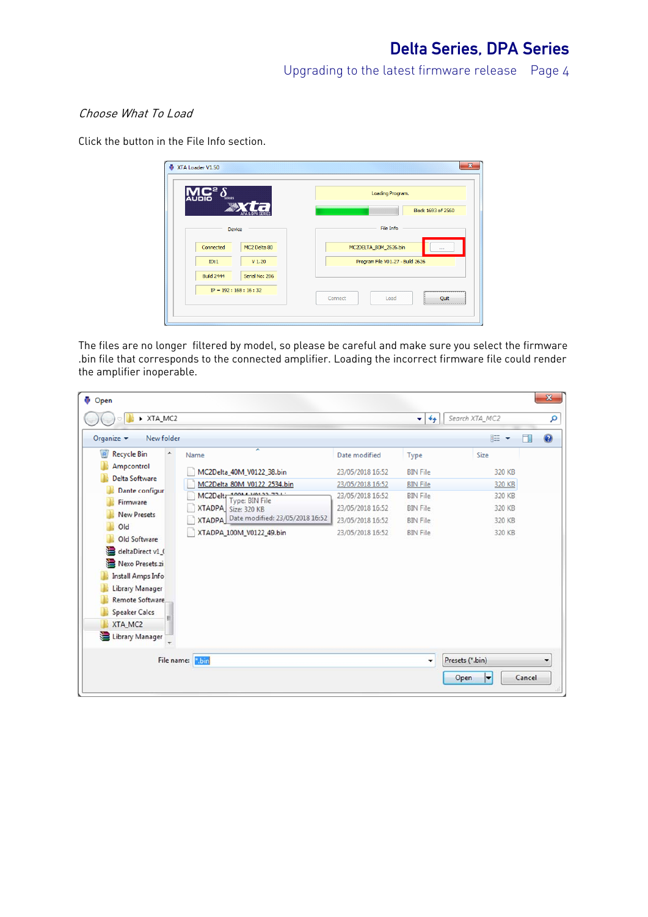Upgrading to the latest firmware release Page 4

## Choose What To Load

Click the button in the File Info section.

| SERIES<br><b>AUDIO</b><br>÷ |                   | Loading Program.                 |
|-----------------------------|-------------------|----------------------------------|
|                             |                   | Block 1693 of 2560               |
| Device                      |                   | File Info                        |
| Connected                   | MC2 Delta 80      | MC2DELTA_80M_2626.bin<br>111     |
| ID:1                        | V <sub>1.20</sub> | Program File V01.27 - Build 2626 |
| <b>Build 2444</b>           | Serial No: 206    |                                  |
| $IP = 192 : 168 : 16 : 32$  |                   |                                  |

The files are no longer filtered by model, so please be careful and make sure you select the firmware .bin file that corresponds to the connected amplifier. Loading the incorrect firmware file could render the amplifier inoperable.

| Open                                        |                                                     |                  |                 |                 | $\mathbf{x}$ |
|---------------------------------------------|-----------------------------------------------------|------------------|-----------------|-----------------|--------------|
| XTA_MC2<br>,                                |                                                     |                  | $-4$            | Search XTA_MC2  | م            |
| Organize $\blacktriangledown$<br>New folder |                                                     |                  |                 | 988 -           | 0<br>ĦΙ      |
| ø<br><b>Recycle Bin</b><br>۸                | ≖<br>Name                                           | Date modified    | Type            | Size            |              |
| Ampcontrol                                  | MC2Delta_40M_V0122_38.bin                           | 23/05/2018 16:52 | <b>BIN File</b> | 320 KB          |              |
| Delta Software                              | MC2Delta 80M V0122 2534.bin                         | 23/05/2018 16:52 | <b>BIN File</b> | 320 KB          |              |
| Dante configur                              | <b>10011101333311</b><br>MC2Deltr<br>Type: BIN File | 23/05/2018 16:52 | <b>BIN File</b> | 320 KB          |              |
| Firmware                                    | XTADPA Size: 320 KB                                 | 23/05/2018 16:52 | <b>BIN File</b> | 320 KB          |              |
| <b>New Presets</b>                          | XTADPA Date modified: 23/05/2018 16:52              | 23/05/2018 16:52 | <b>BIN File</b> | 320 KB          |              |
| Old<br>Old Software                         | XTADPA_100M_V0122_49.bin                            | 23/05/2018 16:52 | <b>BIN File</b> | 320 KB          |              |
| deltaDirect v1_(<br>Nexo Presets.zi         |                                                     |                  |                 |                 |              |
| Install Amps Info<br><b>Library Manager</b> |                                                     |                  |                 |                 |              |
| <b>Remote Software</b>                      |                                                     |                  |                 |                 |              |
| <b>Speaker Calcs</b>                        |                                                     |                  |                 |                 |              |
| XTA_MC2                                     |                                                     |                  |                 |                 |              |
| Library Manager                             |                                                     |                  |                 |                 |              |
|                                             | File name: <b>Bin</b>                               |                  | ٠               | Presets (*.bin) | ۰            |
|                                             |                                                     |                  |                 | Open<br>≂       | Cancel       |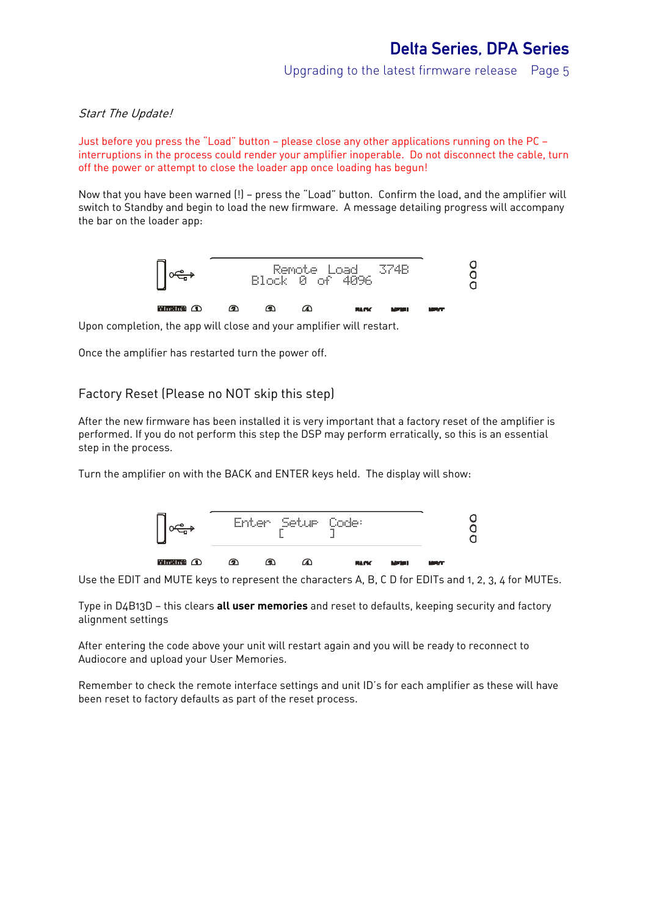Upgrading to the latest firmware release Page 5

#### Start The Update!

Just before you press the "Load" button — please close any other applications running on the PC interruptions in the process could render your amplifier inoperable. Do not disconnect the cable, turn off the power or attempt to close the loader app once loading has begun!

Now that you have been warned (!) — press the "Load" button. Confirm the load, and the amplifier will switch to Standby and begin to load the new firmware. A message detailing progress will accompany the bar on the loader app:



Upon completion, the app will close and your amplifier will restart.

Once the amplifier has restarted turn the power off.

#### Factory Reset (Please no NOT skip this step)

After the new firmware has been installed it is very important that a factory reset of the amplifier is performed. If you do not perform this step the DSP may perform erratically, so this is an essential step in the process.

Turn the amplifier on with the BACK and ENTER keys held. The display will show:



Use the EDIT and MUTE keys to represent the characters A, B, C D for EDITs and 1, 2, 3, 4 for MUTEs.

Type in D4B13D — this clears **all user memories** and reset to defaults, keeping security and factory alignment settings

After entering the code above your unit will restart again and you will be ready to reconnect to Audiocore and upload your User Memories.

Remember to check the remote interface settings and unit ID's for each amplifier as these will have been reset to factory defaults as part of the reset process.